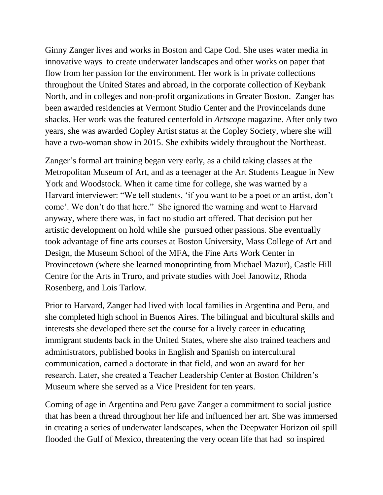Ginny Zanger lives and works in Boston and Cape Cod. She uses water media in innovative ways to create underwater landscapes and other works on paper that flow from her passion for the environment. Her work is in private collections throughout the United States and abroad, in the corporate collection of Keybank North, and in colleges and non-profit organizations in Greater Boston. Zanger has been awarded residencies at Vermont Studio Center and the Provincelands dune shacks. Her work was the featured centerfold in *Artscope* magazine. After only two years, she was awarded Copley Artist status at the Copley Society, where she will have a two-woman show in 2015. She exhibits widely throughout the Northeast.

Zanger's formal art training began very early, as a child taking classes at the Metropolitan Museum of Art, and as a teenager at the Art Students League in New York and Woodstock. When it came time for college, she was warned by a Harvard interviewer: "We tell students, 'if you want to be a poet or an artist, don't come'. We don't do that here." She ignored the warning and went to Harvard anyway, where there was, in fact no studio art offered. That decision put her artistic development on hold while she pursued other passions. She eventually took advantage of fine arts courses at Boston University, Mass College of Art and Design, the Museum School of the MFA, the Fine Arts Work Center in Provincetown (where she learned monoprinting from Michael Mazur), Castle Hill Centre for the Arts in Truro, and private studies with Joel Janowitz, Rhoda Rosenberg, and Lois Tarlow.

Prior to Harvard, Zanger had lived with local families in Argentina and Peru, and she completed high school in Buenos Aires. The bilingual and bicultural skills and interests she developed there set the course for a lively career in educating immigrant students back in the United States, where she also trained teachers and administrators, published books in English and Spanish on intercultural communication, earned a doctorate in that field, and won an award for her research. Later, she created a Teacher Leadership Center at Boston Children's Museum where she served as a Vice President for ten years.

Coming of age in Argentina and Peru gave Zanger a commitment to social justice that has been a thread throughout her life and influenced her art. She was immersed in creating a series of underwater landscapes, when the Deepwater Horizon oil spill flooded the Gulf of Mexico, threatening the very ocean life that had so inspired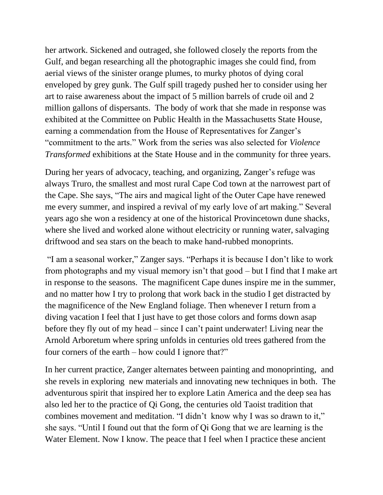her artwork. Sickened and outraged, she followed closely the reports from the Gulf, and began researching all the photographic images she could find, from aerial views of the sinister orange plumes, to murky photos of dying coral enveloped by grey gunk. The Gulf spill tragedy pushed her to consider using her art to raise awareness about the impact of 5 million barrels of crude oil and 2 million gallons of dispersants. The body of work that she made in response was exhibited at the Committee on Public Health in the Massachusetts State House, earning a commendation from the House of Representatives for Zanger's "commitment to the arts." Work from the series was also selected for *Violence Transformed* exhibitions at the State House and in the community for three years.

During her years of advocacy, teaching, and organizing, Zanger's refuge was always Truro, the smallest and most rural Cape Cod town at the narrowest part of the Cape. She says, "The airs and magical light of the Outer Cape have renewed me every summer, and inspired a revival of my early love of art making." Several years ago she won a residency at one of the historical Provincetown dune shacks, where she lived and worked alone without electricity or running water, salvaging driftwood and sea stars on the beach to make hand-rubbed monoprints.

"I am a seasonal worker," Zanger says. "Perhaps it is because I don't like to work from photographs and my visual memory isn't that good – but I find that I make art in response to the seasons. The magnificent Cape dunes inspire me in the summer, and no matter how I try to prolong that work back in the studio I get distracted by the magnificence of the New England foliage. Then whenever I return from a diving vacation I feel that I just have to get those colors and forms down asap before they fly out of my head – since I can't paint underwater! Living near the Arnold Arboretum where spring unfolds in centuries old trees gathered from the four corners of the earth – how could I ignore that?"

In her current practice, Zanger alternates between painting and monoprinting, and she revels in exploring new materials and innovating new techniques in both. The adventurous spirit that inspired her to explore Latin America and the deep sea has also led her to the practice of Qi Gong, the centuries old Taoist tradition that combines movement and meditation. "I didn't know why I was so drawn to it," she says. "Until I found out that the form of Qi Gong that we are learning is the Water Element. Now I know. The peace that I feel when I practice these ancient